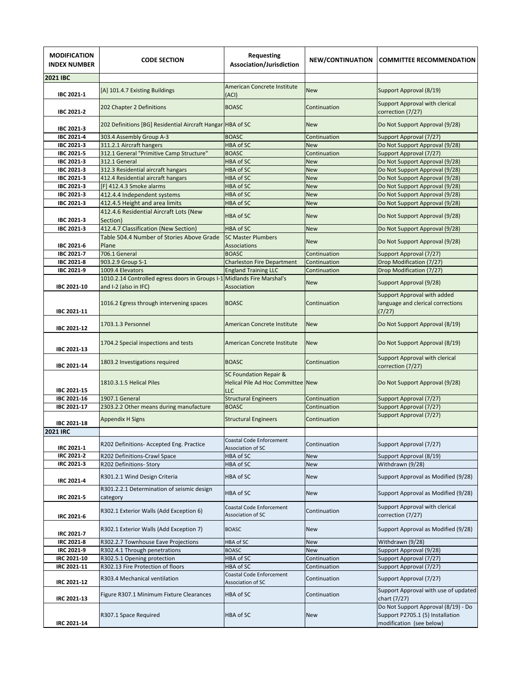| <b>MODIFICATION</b><br><b>INDEX NUMBER</b> | <b>CODE SECTION</b>                                                      | Requesting<br>Association/Jurisdiction                                        | <b>NEW/CONTINUATION</b>      | <b>COMMITTEE RECOMMENDATION</b>                                                                     |
|--------------------------------------------|--------------------------------------------------------------------------|-------------------------------------------------------------------------------|------------------------------|-----------------------------------------------------------------------------------------------------|
| <b>2021 IBC</b>                            |                                                                          |                                                                               |                              |                                                                                                     |
| IBC 2021-1                                 | [A] 101.4.7 Existing Buildings                                           | <b>American Concrete Institute</b><br>(ACI)                                   | <b>New</b>                   | Support Approval (8/19)                                                                             |
| IBC 2021-2                                 | 202 Chapter 2 Definitions                                                | <b>BOASC</b>                                                                  | Continuation                 | Support Approval with clerical<br>correction (7/27)                                                 |
| IBC 2021-3                                 | 202 Definitions [BG] Residential Aircraft Hangar HBA of SC               |                                                                               | <b>New</b>                   | Do Not Support Approval (9/28)                                                                      |
| <b>IBC 2021-4</b>                          | 303.4 Assembly Group A-3                                                 | <b>BOASC</b>                                                                  | Continuation                 | Support Approval (7/27)                                                                             |
| IBC 2021-3                                 | 311.2.1 Aircraft hangers                                                 | <b>HBA of SC</b>                                                              | <b>New</b>                   | Do Not Support Approval (9/28)                                                                      |
| IBC 2021-5                                 | 312.1 General "Primitive Camp Structure"                                 | <b>BOASC</b>                                                                  | Continuation                 | Support Approval (7/27)                                                                             |
| IBC 2021-3                                 | 312.1 General                                                            | HBA of SC                                                                     | <b>New</b>                   | Do Not Support Approval (9/28)                                                                      |
| IBC 2021-3                                 | 312.3 Residential aircraft hangars                                       | HBA of SC                                                                     | <b>New</b>                   | Do Not Support Approval (9/28)                                                                      |
| IBC 2021-3                                 | 412.4 Residential aircraft hangars                                       | HBA of SC                                                                     | New                          | Do Not Support Approval (9/28)                                                                      |
| IBC 2021-3                                 | [F] 412.4.3 Smoke alarms                                                 | HBA of SC                                                                     | <b>New</b>                   | Do Not Support Approval (9/28)                                                                      |
| IBC 2021-3                                 | 412.4.4 Independent systems                                              | <b>HBA of SC</b>                                                              | <b>New</b>                   | Do Not Support Approval (9/28)                                                                      |
| IBC 2021-3                                 | 412.4.5 Height and area limits                                           | HBA of SC                                                                     | <b>New</b>                   | Do Not Support Approval (9/28)                                                                      |
| IBC 2021-3                                 | 412.4.6 Residential Aircraft Lots (New<br>Section)                       | <b>HBA of SC</b>                                                              | <b>New</b>                   | Do Not Support Approval (9/28)                                                                      |
| IBC 2021-3                                 | 412.4.7 Classification (New Section)                                     | <b>HBA of SC</b>                                                              | <b>New</b>                   | Do Not Support Approval (9/28)                                                                      |
| IBC 2021-6                                 | Table 504.4 Number of Stories Above Grade<br>Plane                       | <b>SC Master Plumbers</b><br><b>Associations</b>                              | <b>New</b>                   | Do Not Support Approval (9/28)                                                                      |
| IBC 2021-7                                 | 706.1 General                                                            | <b>BOASC</b>                                                                  | Continuation                 | Support Approval (7/27)                                                                             |
| IBC 2021-8                                 | 903.2.9 Group S-1                                                        | <b>Charleston Fire Department</b>                                             | Continuation                 | Drop Modification (7/27)                                                                            |
| IBC 2021-9                                 | 1009.4 Elevators                                                         | <b>England Training LLC</b>                                                   | Continuation                 | Drop Modification (7/27)                                                                            |
| IBC 2021-10                                | 1010.2.14 Controlled egress doors in Groups I-1<br>and I-2 (also in IFC) | <b>Midlands Fire Marshal's</b><br>Association                                 | <b>New</b>                   | Support Approval (9/28)                                                                             |
| IBC 2021-11                                | 1016.2 Egress through intervening spaces                                 | <b>BOASC</b>                                                                  | Continuation                 | Support Approval with added<br>language and clerical corrections<br>(7/27)                          |
| IBC 2021-12                                | 1703.1.3 Personnel                                                       | American Concrete Institute                                                   | <b>New</b>                   | Do Not Support Approval (8/19)                                                                      |
| IBC 2021-13                                | 1704.2 Special inspections and tests                                     | American Concrete Institute                                                   | <b>New</b>                   | Do Not Support Approval (8/19)                                                                      |
| IBC 2021-14                                | 1803.2 Investigations required                                           | <b>BOASC</b>                                                                  | Continuation                 | Support Approval with clerical<br>correction (7/27)                                                 |
| IBC 2021-15                                | 1810.3.1.5 Helical Piles                                                 | <b>SC Foundation Repair &amp;</b><br>Helical Pile Ad Hoc Committee New<br>LLC |                              | Do Not Support Approval (9/28)                                                                      |
| IBC 2021-16                                | 1907.1 General                                                           | <b>Structural Engineers</b>                                                   | Continuation                 | Support Approval (7/27)                                                                             |
| IBC 2021-17                                | 2303.2.2 Other means during manufacture                                  | <b>BOASC</b>                                                                  | Continuation                 | Support Approval (7/27)                                                                             |
| IBC 2021-18                                | <b>Appendix H Signs</b>                                                  | <b>Structural Engineers</b>                                                   | Continuation                 | Support Approval (7/27)                                                                             |
| <b>2021 IRC</b>                            |                                                                          |                                                                               |                              |                                                                                                     |
| IRC 2021-1                                 | R202 Definitions- Accepted Eng. Practice                                 | Coastal Code Enforcement<br>Association of SC                                 | Continuation                 | Support Approval (7/27)                                                                             |
| IRC 2021-2                                 | R202 Definitions-Crawl Space                                             | HBA of SC                                                                     | <b>New</b>                   | Support Approval (8/19)                                                                             |
| IRC 2021-3                                 | R202 Definitions- Story                                                  | HBA of SC                                                                     | <b>New</b>                   | Withdrawn (9/28)                                                                                    |
| <b>IRC 2021-4</b>                          | R301.2.1 Wind Design Criteria                                            | HBA of SC                                                                     | <b>New</b>                   | Support Approval as Modified (9/28)                                                                 |
| IRC 2021-5                                 | R301.2.2.1 Determination of seismic design<br>category                   | HBA of SC                                                                     | <b>New</b>                   | Support Approval as Modified (9/28)                                                                 |
| <b>IRC 2021-6</b>                          | R302.1 Exterior Walls (Add Exception 6)                                  | Coastal Code Enforcement<br>Association of SC                                 | Continuation                 | Support Approval with clerical<br>correction (7/27)                                                 |
| <b>IRC 2021-7</b>                          | R302.1 Exterior Walls (Add Exception 7)                                  | <b>BOASC</b>                                                                  | <b>New</b>                   | Support Approval as Modified (9/28)                                                                 |
| IRC 2021-8                                 | R302.2.7 Townhouse Eave Projections                                      | HBA of SC                                                                     | New                          | Withdrawn (9/28)                                                                                    |
| IRC 2021-9                                 | R302.4.1 Through penetrations                                            | <b>BOASC</b>                                                                  | <b>New</b>                   | Support Approval (9/28)                                                                             |
| IRC 2021-10                                | R302.5.1 Opening protection                                              | HBA of SC                                                                     | Continuation                 | Support Approval (7/27)                                                                             |
| IRC 2021-11<br><b>IRC 2021-12</b>          | R302.13 Fire Protection of floors<br>R303.4 Mechanical ventilation       | HBA of SC<br>Coastal Code Enforcement                                         | Continuation<br>Continuation | Support Approval (7/27)<br>Support Approval (7/27)                                                  |
|                                            | Figure R307.1 Minimum Fixture Clearances                                 | Association of SC<br>HBA of SC                                                | Continuation                 | Support Approval with use of updated                                                                |
| IRC 2021-13                                |                                                                          |                                                                               |                              | chart (7/27)                                                                                        |
| IRC 2021-14                                | R307.1 Space Required                                                    | HBA of SC                                                                     | <b>New</b>                   | Do Not Support Approval (8/19) - Do<br>Support P2705.1 (5) Installation<br>modification (see below) |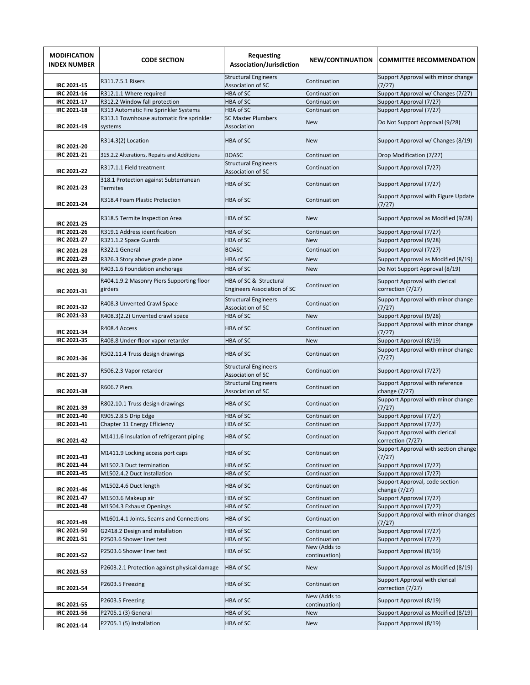| <b>MODIFICATION</b><br><b>INDEX NUMBER</b> | <b>CODE SECTION</b>                                                      | <b>Requesting</b><br>Association/Jurisdiction                | <b>NEW/CONTINUATION</b>       | <b>COMMITTEE RECOMMENDATION</b>                                     |
|--------------------------------------------|--------------------------------------------------------------------------|--------------------------------------------------------------|-------------------------------|---------------------------------------------------------------------|
| IRC 2021-15                                | R311.7.5.1 Risers                                                        | <b>Structural Engineers</b><br><b>Association of SC</b>      | Continuation                  | Support Approval with minor change<br>(7/27)                        |
| IRC 2021-16                                | R312.1.1 Where required                                                  | HBA of SC                                                    | Continuation                  | Support Approval w/ Changes (7/27)                                  |
| <b>IRC 2021-17</b>                         | R312.2 Window fall protection                                            | HBA of SC                                                    | Continuation                  | Support Approval (7/27)                                             |
| IRC 2021-18                                | R313 Automatic Fire Sprinkler Systems                                    | HBA of SC                                                    | Continuation                  | Support Approval (7/27)                                             |
| IRC 2021-19                                | R313.1 Townhouse automatic fire sprinkler<br>systems                     | <b>SC Master Plumbers</b><br>Association                     | <b>New</b>                    | Do Not Support Approval (9/28)                                      |
| <b>IRC 2021-20</b>                         | R314.3(2) Location                                                       | HBA of SC                                                    | <b>New</b>                    | Support Approval w/ Changes (8/19)                                  |
| IRC 2021-21                                | 315.2.2 Alterations, Repairs and Additions                               | <b>BOASC</b>                                                 | Continuation                  | Drop Modification (7/27)                                            |
| <b>IRC 2021-22</b>                         | R317.1.1 Field treatment                                                 | <b>Structural Engineers</b><br>Association of SC             | Continuation                  | Support Approval (7/27)                                             |
| <b>IRC 2021-23</b>                         | 318.1 Protection against Subterranean<br><b>Termites</b>                 | HBA of SC                                                    | Continuation                  | Support Approval (7/27)                                             |
| <b>IRC 2021-24</b>                         | R318.4 Foam Plastic Protection                                           | HBA of SC                                                    | Continuation                  | Support Approval with Figure Update<br>(7/27)                       |
| <b>IRC 2021-25</b>                         | R318.5 Termite Inspection Area                                           | HBA of SC                                                    | <b>New</b>                    | Support Approval as Modified (9/28)                                 |
| <b>IRC 2021-26</b>                         | R319.1 Address identification                                            | HBA of SC                                                    | Continuation                  | Support Approval (7/27)                                             |
| <b>IRC 2021-27</b>                         | R321.1.2 Space Guards                                                    | HBA of SC                                                    | <b>New</b>                    | Support Approval (9/28)                                             |
| <b>IRC 2021-28</b>                         | R322.1 General                                                           | <b>BOASC</b>                                                 | Continuation                  | Support Approval (7/27)                                             |
| IRC 2021-29                                | R326.3 Story above grade plane                                           | HBA of SC                                                    | <b>New</b>                    | Support Approval as Modified (8/19)                                 |
| IRC 2021-30                                | R403.1.6 Foundation anchorage                                            | HBA of SC                                                    | <b>New</b>                    | Do Not Support Approval (8/19)                                      |
|                                            |                                                                          |                                                              |                               |                                                                     |
| IRC 2021-31                                | R404.1.9.2 Masonry Piers Supporting floor<br>girders                     | HBA of SC & Structural<br><b>Engineers Association of SC</b> | Continuation                  | Support Approval with clerical<br>correction (7/27)                 |
| IRC 2021-32                                | R408.3 Unvented Crawl Space                                              | <b>Structural Engineers</b><br>Association of SC             | Continuation                  | Support Approval with minor change<br>(7/27)                        |
| IRC 2021-33                                | R408.3(2.2) Unvented crawl space                                         | HBA of SC                                                    | <b>New</b>                    | Support Approval (9/28)                                             |
| IRC 2021-34                                | R408.4 Access                                                            | HBA of SC                                                    | Continuation                  | Support Approval with minor change<br>(7/27)                        |
| IRC 2021-35                                | R408.8 Under-floor vapor retarder                                        | HBA of SC                                                    | <b>New</b>                    | Support Approval (8/19)                                             |
| IRC 2021-36                                | R502.11.4 Truss design drawings                                          | HBA of SC                                                    | Continuation                  | Support Approval with minor change<br>(7/27)                        |
| IRC 2021-37                                | R506.2.3 Vapor retarder                                                  | <b>Structural Engineers</b><br>Association of SC             | Continuation                  | Support Approval (7/27)                                             |
| <b>IRC 2021-38</b>                         | <b>R606.7 Piers</b>                                                      | <b>Structural Engineers</b><br><b>Association of SC</b>      | Continuation                  | Support Approval with reference<br>change (7/27)                    |
| IRC 2021-39                                | R802.10.1 Truss design drawings                                          | <b>HBA of SC</b>                                             | Continuation                  | Support Approval with minor change<br>(7/27)                        |
| <b>IRC 2021-40</b>                         | R905.2.8.5 Drip Edge                                                     | HBA of SC                                                    | Continuation                  | Support Approval (7/27)                                             |
| IRC 2021-41<br>IRC 2021-42                 | Chapter 11 Energy Efficiency<br>M1411.6 Insulation of refrigerant piping | HBA of SC<br>HBA of SC                                       | Continuation<br>Continuation  | Support Approval (7/27)<br>Support Approval with clerical           |
| IRC 2021-43                                | M1411.9 Locking access port caps                                         | HBA of SC                                                    | Continuation                  | correction (7/27)<br>Support Approval with section change<br>(7/27) |
| IRC 2021-44                                | M1502.3 Duct termination                                                 | HBA of SC                                                    | Continuation                  | Support Approval (7/27)                                             |
| IRC 2021-45                                | M1502.4.2 Duct Installation                                              | HBA of SC                                                    | Continuation                  | Support Approval (7/27)                                             |
| IRC 2021-46                                | M1502.4.6 Duct length                                                    | HBA of SC                                                    | Continuation                  | Support Approval, code section<br>change (7/27)                     |
| <b>IRC 2021-47</b>                         | M1503.6 Makeup air                                                       | HBA of SC                                                    | Continuation                  | Support Approval (7/27)                                             |
| IRC 2021-48                                | M1504.3 Exhaust Openings                                                 | HBA of SC                                                    | Continuation                  | Support Approval (7/27)                                             |
| IRC 2021-49                                | M1601.4.1 Joints, Seams and Connections                                  | HBA of SC                                                    | Continuation                  | Support Approval with minor changes<br>(7/27)                       |
| IRC 2021-50                                | G2418.2 Design and installation                                          | HBA of SC                                                    | Continuation                  | Support Approval (7/27)                                             |
| IRC 2021-51                                | P2503.6 Shower liner test                                                | HBA of SC                                                    | Continuation                  | Support Approval (7/27)                                             |
| IRC 2021-52                                | P2503.6 Shower liner test                                                | HBA of SC                                                    | New (Adds to<br>continuation) | Support Approval (8/19)                                             |
| <b>IRC 2021-53</b>                         | P2603.2.1 Protection against physical damage                             | HBA of SC                                                    | New                           | Support Approval as Modified (8/19)                                 |
| <b>IRC 2021-54</b>                         | P2603.5 Freezing                                                         | HBA of SC                                                    | Continuation                  | Support Approval with clerical<br>correction (7/27)                 |
| <b>IRC 2021-55</b>                         | P2603.5 Freezing                                                         | HBA of SC                                                    | New (Adds to<br>continuation) | Support Approval (8/19)                                             |
| IRC 2021-56                                | P2705.1 (3) General                                                      | HBA of SC                                                    | New                           | Support Approval as Modified (8/19)                                 |
| IRC 2021-14                                | P2705.1 (5) Installation                                                 | HBA of SC                                                    | New                           | Support Approval (8/19)                                             |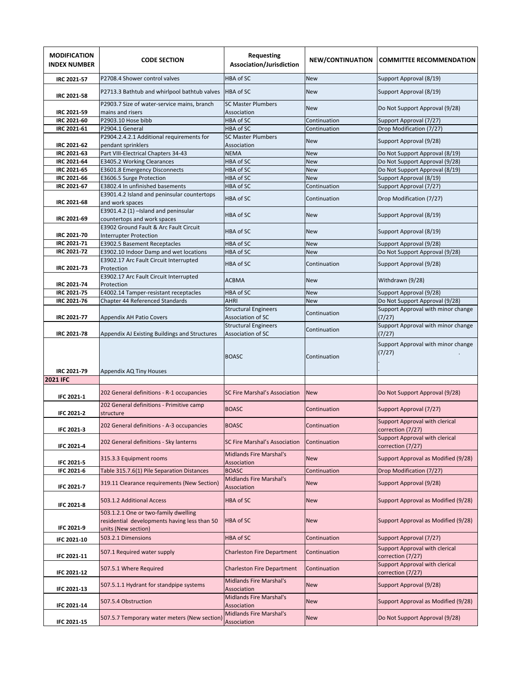| <b>MODIFICATION</b><br><b>INDEX NUMBER</b> | <b>CODE SECTION</b>                                                                                         | Requesting<br>Association/Jurisdiction           | NEW/CONTINUATION | <b>COMMITTEE RECOMMENDATION</b>                     |
|--------------------------------------------|-------------------------------------------------------------------------------------------------------------|--------------------------------------------------|------------------|-----------------------------------------------------|
| <b>IRC 2021-57</b>                         | P2708.4 Shower control valves                                                                               | HBA of SC                                        | <b>New</b>       | Support Approval (8/19)                             |
| <b>IRC 2021-58</b>                         | P2713.3 Bathtub and whirlpool bathtub valves                                                                | HBA of SC                                        | <b>New</b>       | Support Approval (8/19)                             |
| <b>IRC 2021-59</b>                         | P2903.7 Size of water-service mains, branch<br>mains and risers                                             | <b>SC Master Plumbers</b><br>Association         | <b>New</b>       | Do Not Support Approval (9/28)                      |
| IRC 2021-60                                | P2903.10 Hose bibb                                                                                          | HBA of SC                                        | Continuation     | Support Approval (7/27)                             |
| IRC 2021-61                                | P2904.1 General                                                                                             | HBA of SC                                        | Continuation     | Drop Modification (7/27)                            |
| IRC 2021-62                                | P2904.2.4.2.1 Additional requirements for<br>pendant sprinklers                                             | <b>SC Master Plumbers</b><br>Association         | <b>New</b>       | Support Approval (9/28)                             |
| IRC 2021-63                                | Part VIII-Electrical Chapters 34-43                                                                         | <b>NEMA</b>                                      | <b>New</b>       | Do Not Support Approval (8/19)                      |
| IRC 2021-64                                | E3405.2 Working Clearances                                                                                  | HBA of SC                                        | <b>New</b>       | Do Not Support Approval (9/28)                      |
| IRC 2021-65                                | E3601.8 Emergency Disconnects                                                                               | HBA of SC                                        | <b>New</b>       | Do Not Support Approval (8/19)                      |
| IRC 2021-66                                | E3606.5 Surge Protection                                                                                    | HBA of SC                                        | <b>New</b>       | Support Approval (8/19)                             |
|                                            |                                                                                                             |                                                  |                  |                                                     |
| IRC 2021-67                                | E3802.4 In unfinished basements                                                                             | HBA of SC                                        | Continuation     | Support Approval (7/27)                             |
| IRC 2021-68                                | E3901.4.2 Island and peninsular countertops<br>and work spaces                                              | HBA of SC                                        | Continuation     | Drop Modification (7/27)                            |
| IRC 2021-69                                | E3901.4.2 (1) -Island and peninsular<br>countertops and work spaces                                         | HBA of SC                                        | <b>New</b>       | Support Approval (8/19)                             |
| IRC 2021-70                                | E3902 Ground Fault & Arc Fault Circuit<br><b>Interrupter Protection</b>                                     | HBA of SC                                        | <b>New</b>       | Support Approval (8/19)                             |
| IRC 2021-71                                | E3902.5 Basement Receptacles                                                                                | HBA of SC                                        | <b>New</b>       | Support Approval (9/28)                             |
| <b>IRC 2021-72</b>                         | E3902.10 Indoor Damp and wet locations                                                                      | HBA of SC                                        | New              | Do Not Support Approval (9/28)                      |
| IRC 2021-73                                | E3902.17 Arc Fault Circuit Interrupted<br>Protection                                                        | HBA of SC                                        | Continuation     | Support Approval (9/28)                             |
| <b>IRC 2021-74</b>                         | E3902.17 Arc Fault Circuit Interrupted<br>Protection                                                        | <b>ACBMA</b>                                     | <b>New</b>       | Withdrawn (9/28)                                    |
| <b>IRC 2021-75</b>                         | E4002.14 Tamper-resistant receptacles                                                                       | HBA of SC                                        | <b>New</b>       | Support Approval (9/28)                             |
| IRC 2021-76                                | Chapter 44 Referenced Standards                                                                             | AHRI                                             | <b>New</b>       | Do Not Support Approval (9/28)                      |
|                                            |                                                                                                             |                                                  |                  |                                                     |
| IRC 2021-77                                | <b>Appendix AH Patio Covers</b>                                                                             | <b>Structural Engineers</b><br>Association of SC | Continuation     | Support Approval with minor change<br>(7/27)        |
| <b>IRC 2021-78</b>                         | Appendix AJ Existing Buildings and Structures                                                               | <b>Structural Engineers</b><br>Association of SC | Continuation     | Support Approval with minor change<br>(7/27)        |
| IRC 2021-79                                | Appendix AQ Tiny Houses                                                                                     | <b>BOASC</b>                                     | Continuation     | Support Approval with minor<br>change (7/27)        |
| <b>2021 IFC</b>                            |                                                                                                             |                                                  |                  |                                                     |
|                                            |                                                                                                             |                                                  |                  |                                                     |
| <b>IFC 2021-1</b>                          | 202 General definitions - R-1 occupancies                                                                   | <b>SC Fire Marshal's Association</b>             | <b>New</b>       | Do Not Support Approval (9/28)                      |
| <b>IFC 2021-2</b>                          | 202 General definitions - Primitive camp<br>structure                                                       | <b>BOASC</b>                                     | Continuation     | Support Approval (7/27)                             |
| <b>IFC 2021-3</b>                          | 202 General definitions - A-3 occupancies                                                                   | <b>BOASC</b>                                     | Continuation     | Support Approval with clerical<br>correction (7/27) |
| <b>IFC 2021-4</b>                          | 202 General definitions - Sky lanterns                                                                      | SC Fire Marshal's Association                    | Continuation     | Support Approval with clerical<br>correction (7/27) |
| IFC 2021-5                                 | 315.3.3 Equipment rooms                                                                                     | <b>Midlands Fire Marshal's</b><br>Association    | <b>New</b>       | Support Approval as Modified (9/28)                 |
| IFC 2021-6                                 | Table 315.7.6(1) Pile Separation Distances                                                                  | <b>BOASC</b>                                     | Continuation     | Drop Modification (7/27)                            |
| IFC 2021-7                                 | 319.11 Clearance requirements (New Section)                                                                 | Midlands Fire Marshal's<br>Association           | <b>New</b>       | Support Approval (9/28)                             |
| IFC 2021-8                                 | 503.1.2 Additional Access                                                                                   | <b>HBA of SC</b>                                 | <b>New</b>       | Support Approval as Modified (9/28)                 |
| IFC 2021-9                                 | 503.1.2.1 One or two-family dwelling<br>residential developments having less than 50<br>units (New section) | HBA of SC                                        | <b>New</b>       | Support Approval as Modified (9/28)                 |
| IFC 2021-10                                | 503.2.1 Dimensions                                                                                          | HBA of SC                                        | Continuation     | Support Approval (7/27)                             |
| IFC 2021-11                                | 507.1 Required water supply                                                                                 | <b>Charleston Fire Department</b>                | Continuation     | Support Approval with clerical<br>correction (7/27) |
| <b>IFC 2021-12</b>                         | 507.5.1 Where Required                                                                                      | <b>Charleston Fire Department</b>                | Continuation     | Support Approval with clerical<br>correction (7/27) |
| IFC 2021-13                                | 507.5.1.1 Hydrant for standpipe systems                                                                     | <b>Midlands Fire Marshal's</b><br>Association    | <b>New</b>       | Support Approval (9/28)                             |
| IFC 2021-14                                | 507.5.4 Obstruction                                                                                         | Midlands Fire Marshal's<br>Association           | <b>New</b>       | Support Approval as Modified (9/28)                 |
| IFC 2021-15                                | 507.5.7 Temporary water meters (New section)                                                                | <b>Midlands Fire Marshal's</b><br>Association    | <b>New</b>       | Do Not Support Approval (9/28)                      |
|                                            |                                                                                                             |                                                  |                  |                                                     |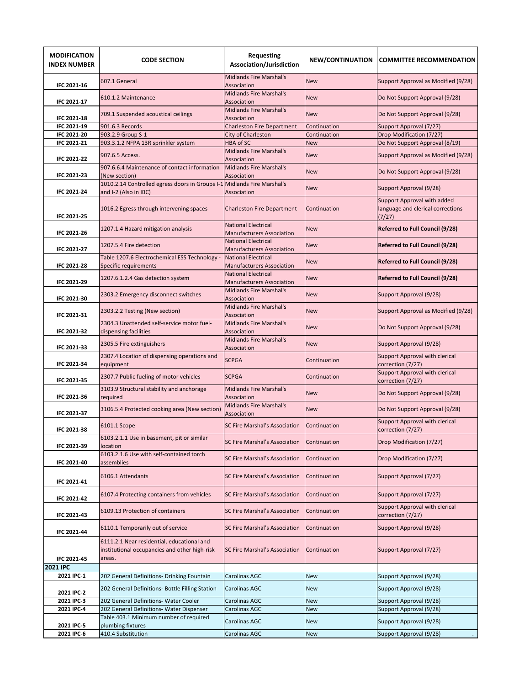| <b>MODIFICATION</b><br><b>INDEX NUMBER</b> | <b>CODE SECTION</b>                                                                                   | <b>Requesting</b><br>Association/Jurisdiction                  | NEW/CONTINUATION | <b>COMMITTEE RECOMMENDATION</b>                                            |
|--------------------------------------------|-------------------------------------------------------------------------------------------------------|----------------------------------------------------------------|------------------|----------------------------------------------------------------------------|
| IFC 2021-16                                | 607.1 General                                                                                         | <b>Midlands Fire Marshal's</b><br>Association                  | <b>New</b>       | Support Approval as Modified (9/28)                                        |
| IFC 2021-17                                | 610.1.2 Maintenance                                                                                   | <b>Midlands Fire Marshal's</b><br>Association                  | <b>New</b>       | Do Not Support Approval (9/28)                                             |
| IFC 2021-18                                | 709.1 Suspended acoustical ceilings                                                                   | <b>Midlands Fire Marshal's</b><br>Association                  | <b>New</b>       | Do Not Support Approval (9/28)                                             |
| IFC 2021-19                                | 901.6.3 Records                                                                                       | <b>Charleston Fire Department</b>                              | Continuation     | Support Approval (7/27)                                                    |
| IFC 2021-20                                | 903.2.9 Group S-1                                                                                     | City of Charleston                                             | Continuation     | Drop Modification (7/27)                                                   |
| IFC 2021-21                                | 903.3.1.2 NFPA 13R sprinkler system                                                                   | <b>HBA of SC</b>                                               | <b>New</b>       | Do Not Support Approval (8/19)                                             |
| <b>IFC 2021-22</b>                         | 907.6.5 Access.                                                                                       | <b>Midlands Fire Marshal's</b><br>Association                  | <b>New</b>       | Support Approval as Modified (9/28)                                        |
| <b>IFC 2021-23</b>                         | 907.6.6.4 Maintenance of contact information<br>(New section)                                         | <b>Midlands Fire Marshal's</b><br>Association                  | <b>New</b>       | Do Not Support Approval (9/28)                                             |
| <b>IFC 2021-24</b>                         | 1010.2.14 Controlled egress doors in Groups I-1 Midlands Fire Marshal's<br>and I-2 (Also in IBC)      | Association                                                    | <b>New</b>       | Support Approval (9/28)                                                    |
| <b>IFC 2021-25</b>                         | 1016.2 Egress through intervening spaces                                                              | <b>Charleston Fire Department</b>                              | Continuation     | Support Approval with added<br>language and clerical corrections<br>(7/27) |
| IFC 2021-26                                | 1207.1.4 Hazard mitigation analysis                                                                   | <b>National Electrical</b><br><b>Manufacturers Association</b> | <b>New</b>       | Referred to Full Council (9/28)                                            |
| <b>IFC 2021-27</b>                         | 1207.5.4 Fire detection                                                                               | <b>National Electrical</b><br><b>Manufacturers Association</b> | <b>New</b>       | <b>Referred to Full Council (9/28)</b>                                     |
| <b>IFC 2021-28</b>                         | Table 1207.6 Electrochemical ESS Technology -<br>Specific requirements                                | <b>National Electrical</b><br><b>Manufacturers Association</b> | <b>New</b>       | <b>Referred to Full Council (9/28)</b>                                     |
| IFC 2021-29                                | 1207.6.1.2.4 Gas detection system                                                                     | <b>National Electrical</b><br><b>Manufacturers Association</b> | <b>New</b>       | <b>Referred to Full Council (9/28)</b>                                     |
| IFC 2021-30                                | 2303.2 Emergency disconnect switches                                                                  | <b>Midlands Fire Marshal's</b><br>Association                  | <b>New</b>       | Support Approval (9/28)                                                    |
| IFC 2021-31                                | 2303.2.2 Testing (New section)                                                                        | <b>Midlands Fire Marshal's</b><br>Association                  | <b>New</b>       | Support Approval as Modified (9/28)                                        |
| IFC 2021-32                                | 2304.3 Unattended self-service motor fuel-<br>dispensing facilities                                   | <b>Midlands Fire Marshal's</b><br>Association                  | <b>New</b>       | Do Not Support Approval (9/28)                                             |
| IFC 2021-33                                | 2305.5 Fire extinguishers                                                                             | <b>Midlands Fire Marshal's</b><br>Association                  | <b>New</b>       | Support Approval (9/28)                                                    |
| <b>IFC 2021-34</b>                         | 2307.4 Location of dispensing operations and<br>equipment                                             | <b>SCPGA</b>                                                   | Continuation     | Support Approval with clerical<br>correction (7/27)                        |
| IFC 2021-35                                | 2307.7 Public fueling of motor vehicles                                                               | <b>SCPGA</b>                                                   | Continuation     | Support Approval with clerical<br>correction (7/27)                        |
| IFC 2021-36                                | 3103.9 Structural stability and anchorage<br>required                                                 | <b>Midlands Fire Marshal's</b><br>Association                  | <b>New</b>       | Do Not Support Approval (9/28)                                             |
| <b>IFC 2021-37</b>                         | 3106.5.4 Protected cooking area (New section)                                                         | <b>Midlands Fire Marshal's</b><br>Association                  | <b>New</b>       | Do Not Support Approval (9/28)                                             |
| IFC 2021-38                                | 6101.1 Scope                                                                                          | <b>SC Fire Marshal's Association</b>                           | Continuation     | Support Approval with clerical<br>correction (7/27)                        |
| IFC 2021-39                                | 6103.2.1.1 Use in basement, pit or similar<br>location                                                | SC Fire Marshal's Association                                  | Continuation     | Drop Modification (7/27)                                                   |
| IFC 2021-40                                | 6103.2.1.6 Use with self-contained torch<br>assemblies                                                | SC Fire Marshal's Association                                  | Continuation     | Drop Modification (7/27)                                                   |
| IFC 2021-41                                | 6106.1 Attendants                                                                                     | <b>SC Fire Marshal's Association</b>                           | Continuation     | Support Approval (7/27)                                                    |
| IFC 2021-42                                | 6107.4 Protecting containers from vehicles                                                            | <b>SC Fire Marshal's Association</b>                           | Continuation     | Support Approval (7/27)                                                    |
| IFC 2021-43                                | 6109.13 Protection of containers                                                                      | SC Fire Marshal's Association                                  | Continuation     | Support Approval with clerical<br>correction (7/27)                        |
| IFC 2021-44                                | 6110.1 Temporarily out of service                                                                     | SC Fire Marshal's Association                                  | Continuation     | Support Approval (9/28)                                                    |
| <b>IFC 2021-45</b>                         | 6111.2.1 Near residential, educational and<br>institutional occupancies and other high-risk<br>areas. | <b>SC Fire Marshal's Association</b>                           | Continuation     | Support Approval (7/27)                                                    |
| 2021 IPC                                   |                                                                                                       |                                                                |                  |                                                                            |
| 2021 IPC-1                                 | 202 General Definitions- Drinking Fountain                                                            | Carolinas AGC                                                  | <b>New</b>       | Support Approval (9/28)                                                    |
| 2021 IPC-2                                 | 202 General Definitions- Bottle Filling Station                                                       | Carolinas AGC                                                  | <b>New</b>       | Support Approval (9/28)                                                    |
| 2021 IPC-3                                 | 202 General Definitions- Water Cooler                                                                 | Carolinas AGC                                                  | <b>New</b>       | Support Approval (9/28)                                                    |
| 2021 IPC-4                                 | 202 General Definitions- Water Dispenser                                                              | Carolinas AGC                                                  | <b>New</b>       | Support Approval (9/28)                                                    |
| 2021 IPC-5                                 | Table 403.1 Minimum number of required<br>plumbing fixtures                                           | Carolinas AGC                                                  | <b>New</b>       | Support Approval (9/28)                                                    |
| 2021 IPC-6                                 | 410.4 Substitution                                                                                    | Carolinas AGC                                                  | <b>New</b>       | Support Approval (9/28)                                                    |